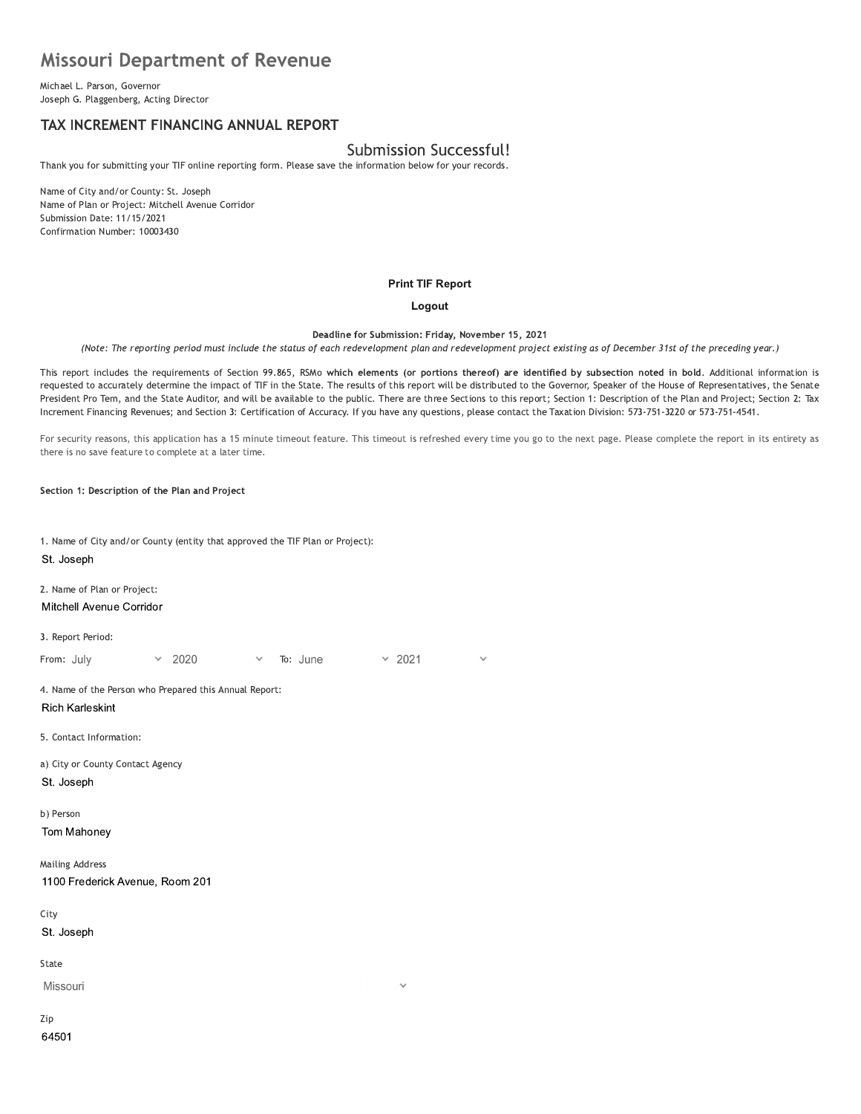# **Missouri Department of Revenue**

Michael L. Parson, Governor Joseph G. Plaggenberg, Acting Director

# TAX INCREMENT FINANCING ANNUAL REPORT

# Submission Successful!

Thank you for submitting your TIF online reporting form. Please save the information below for your records.

Name of City and/or County: St. Joseph Name of Plan or Project: Mitchell Avenue Corridor Submission Date: 11/15/2021 Confirmation Number: 10003430

#### **Print TIF Report**

### Logout

Deadline for Submission: Friday, November 15, 2021

(Note: The reporting period must include the status of each redevelopment plan and redevelopment project existing as of December 31st of the preceding year.)

This report includes the requirements of Section 99.865, RSMo which elements (or portions thereof) are identified by subsection noted in bold. Additional information is requested to accurately determine the impact of TIF in the State. The results of this report will be distributed to the Governor, Speaker of the House of Representatives, the Senate President Pro Tem, and the State Auditor, and will be available to the public. There are three Sections to this report; Section 1: Description of the Plan and Project; Section 2: Tax Increment Financing Revenues; and Section 3: Certification of Accuracy. If you have any questions, please contact the Taxation Division: 573-751-3220 or 573-751-4541.

For security reasons, this application has a 15 minute timeout feature. This timeout is refreshed every time you go to the next page. Please complete the report in its entirety as there is no save feature to complete at a later time.

Section 1: Description of the Plan and Project

1. Name of City and/or County (entity that approved the TIF Plan or Project): St. Joseph 2. Name of Plan or Project: Mitchell Avenue Corridor 3. Report Period:  $\times$  2021 From: July 2020 To: June 4. Name of the Person who Prepared this Annual Report: **Rich Karleskint** 5. Contact Information: a) City or County Contact Agency St. Joseph b) Person Tom Mahoney **Mailing Address** 1100 Frederick Avenue, Room 201 City St. Joseph State Missouri Zip 64501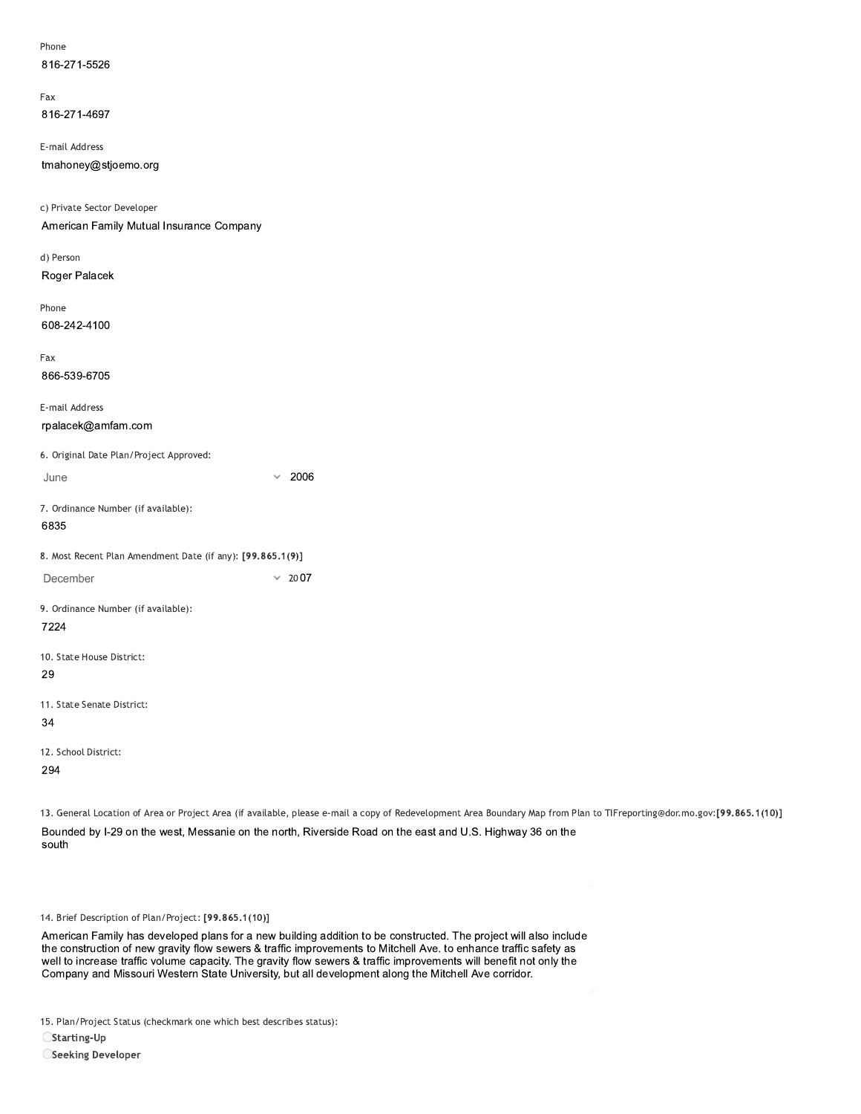| Phone        |
|--------------|
| 816-271-5526 |

rax 816-271-4697

E-mail Address

816-271-5526<br>
Fax<br>
816-271-4697<br>
E-mail Address<br>
tmahoney@stjoemo.org<br>
c) Private Sector Developer<br>
American Family Mutual Insurance Compa<br>
d) Person<br>
Roger Palacek c) Private Sector Developer American Family Mutual Insurance Company

a) Person Roger Palacek rnone

608-242-4100

rax 866-539-6705

E-mail Address

608-242-4100<br>Fax<br>866-539-6705<br>E-mail Address<br>rpalacek@amfam.com<br>6. Original Date Plan/Project Approved:<br>June<br>7. Ordinance Number (if available):<br>6835 6. Original Date Plan/Project Approved:  $\times$  2006

7. Ordinance Number (if available):

# 6835

8. Most Recent Plan Amendment Date (if any): [99.865.1(9)]

December  $\times$  2007

9. Ordinance Number (if available): 7224

10. State House District:

29

11. State Senate District:

34

12. School District:

294

13. General Location of Area or Project Area (if available, please e-mail a copy of Redevelopment Area Boundary Map from Plan to TIFreporting@dor.mo.gov:[99.865.1(10)] Bounded by I-29 on the west, Messanie on the north, Riverside Road on the east and U.S. Highway 36 on the ct:<br>htion of Area or Project Area (if available, please e-mail a copy of Redevelopment Area Boundary Map from Plar<br>29 on the west, Messanie on the north, Riverside Road on the east and U.S. Highway 36 on the<br>htion of Plan/ south

14. Brief Description of Plan/Project: [99.865.1(10)]

Bounded by I-29 on the west, Messanie on the north, Riverside Road on the east and U.S. Highway 36 on the south<br>south<br>14. Brief Description of Plan/Project: [99.865.1(10)]<br>American Family has developed plans for a new buil South<br>
14. Brief Description of Plan/Project: [99.865.1(10)]<br>
American Family has developed plans for a new building addition to be constructed. The project will also include<br>
the construction of new gravity flow sewers & 14. Brief Description of Plan/Project: [99.865.1(10)]<br>American Family has developed plans for a new building addition to be constructed. The project will also include<br>the construction of new gravity flow sewers & traffic i 14. Brief Description of Plan/Project: [99.865.1(10)]<br>American Family has developed plans for a new building addition to be constructed. The project will also include<br>the construction of new gravity flow sewers & traffic i

15. Plan/Project Status (checkmark one which best describes status):

 $\bigcirc$ Starting-Up

OSeeking Developer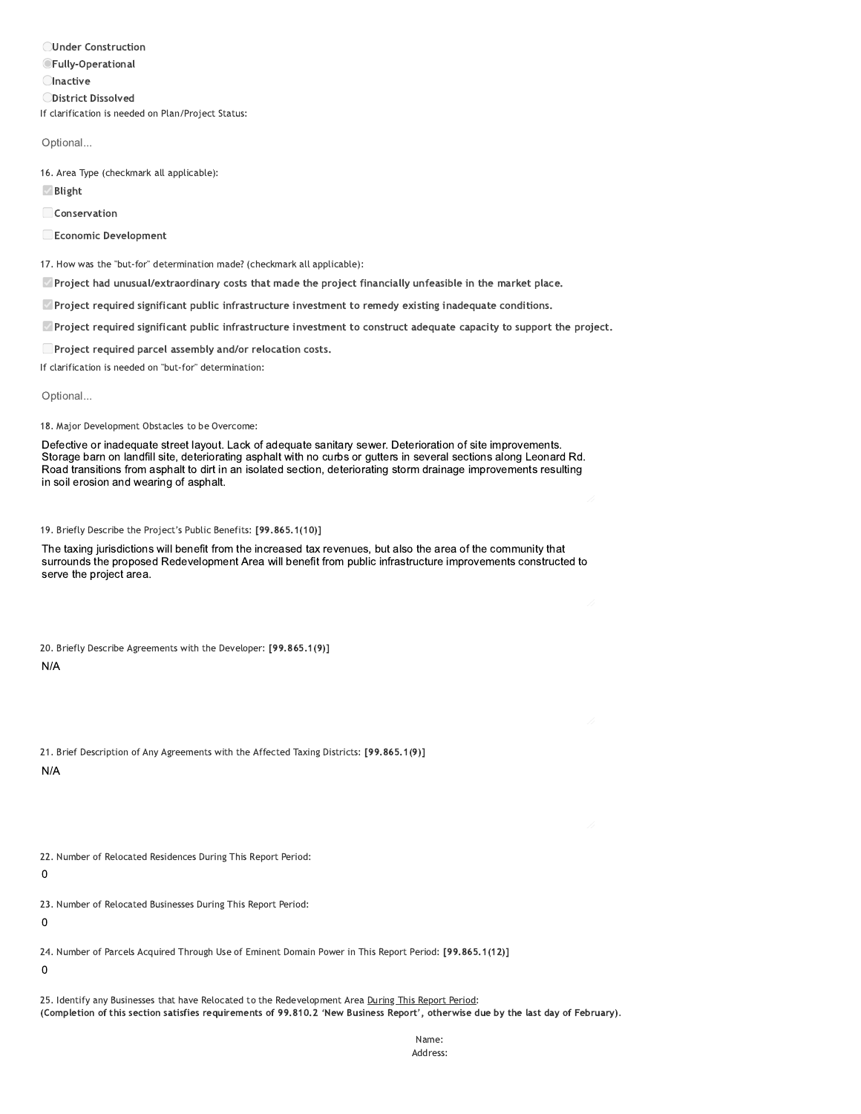**OUnder Construction OFully-Operational Olnactive ODistrict Dissolved** If clarification is needed on Plan/Project Status:

Optional...

16. Area Type (checkmark all applicable):

 $\vee$  Blight

Conservation

Economic Development

17. How was the "but-for" determination made? (checkmark all applicable):

Project had unusual/extraordinary costs that made the project financially unfeasible in the market place.

Project required significant public infrastructure investment to remedy existing inadequate conditions.

<sup>2</sup> Project required significant public infrastructure investment to construct adequate capacity to support the project.

Project required parcel assembly and/or relocation costs.

If clarification is needed on "but-for" determination:

Optional...

18. Major Development Obstacles to be Overcome:

Defective or inadequate street layout. Lack of adequate sanitary sewer. Deterioration of site improvements. Storage barn on landfill site, deteriorating asphalt with no curbs or gutters in several sections along Leonard Rd. Road transitions from asphalt to dirt in an isolated section, deteriorating storm drainage improvements resulting in soil erosion and wearing of asphalt.

19. Briefly Describe the Project's Public Benefits: [99.865.1(10)]

The taxing jurisdictions will benefit from the increased tax revenues, but also the area of the community that surrounds the proposed Redevelopment Area will benefit from public infrastructure improvements constructed to serve the project area.

20. Briefly Describe Agreements with the Developer: [99.865.1(9)]

 $N/A$ 

|  |  | 21. Brief Description of Any Agreements with the Affected Taxing Districts: [99.865.1(9)] |  |  |  |  |
|--|--|-------------------------------------------------------------------------------------------|--|--|--|--|
|  |  |                                                                                           |  |  |  |  |

 $N/A$ 

22. Number of Relocated Residences During This Report Period:

 $\mathbf 0$ 

23. Number of Relocated Businesses During This Report Period:

 $\mathbf 0$ 

24. Number of Parcels Acquired Through Use of Eminent Domain Power in This Report Period: [99.865.1(12)]

 $\mathbf 0$ 

25. Identify any Businesses that have Relocated to the Redevelopment Area During This Report Period: (Completion of this section satisfies requirements of 99.810.2 'New Business Report', otherwise due by the last day of February).

> Name: Address: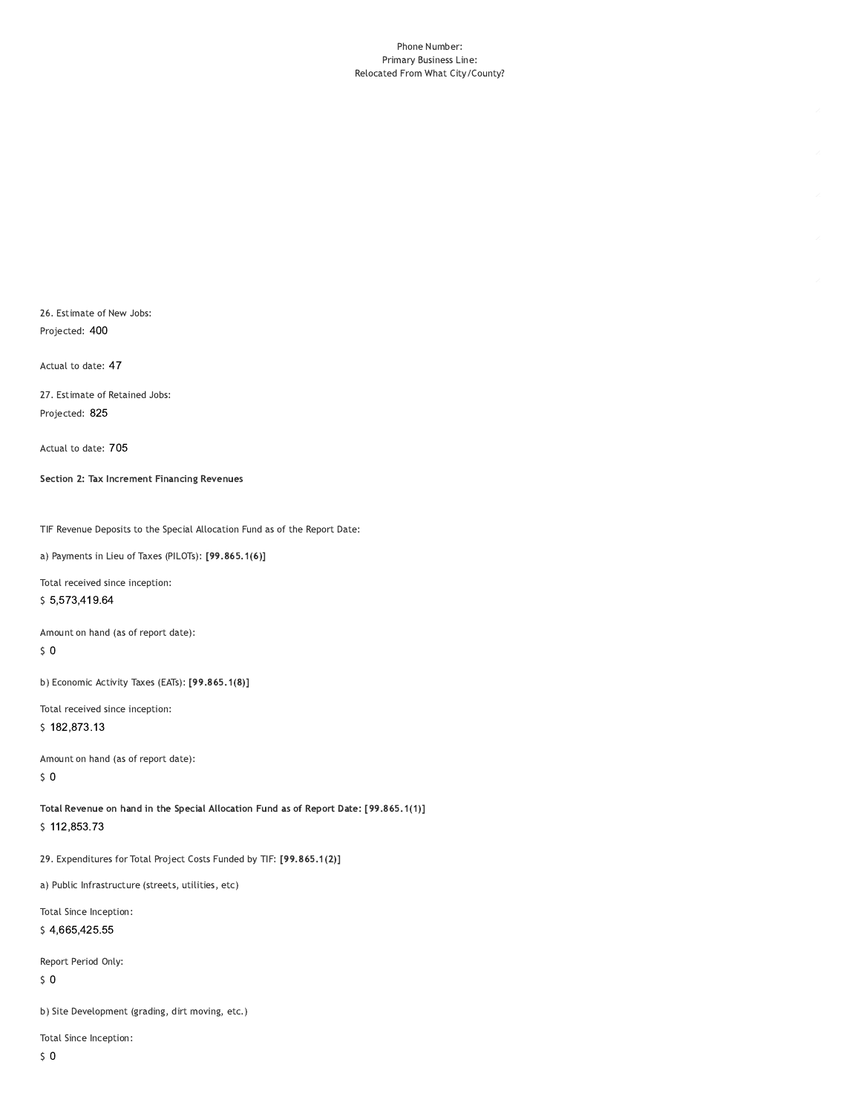#### Phone Number: Primary Business Line: Relocated From What City/County?

26. Estimate of New Jobs: Projected: 400

Actual to date: 47

27. Estimate of Retained Jobs: Projected: 825

Actual to date: 705

Section 2: Tax Increment Financing Revenues

TIF Revenue Deposits to the Special Allocation Fund as of the Report Date:

a) Payments in Lieu of Taxes (PILOTs): [99.865.1(6)]

Total received since inception:

\$5,573,419.64

Amount on hand (as of report date):

 $\sqrt{5}$  O

b) Economic Activity Taxes (EATs): [99.865.1(8)]

Total received since inception:

\$182,873.13

Amount on hand (as of report date):  $50$ 

Total Revenue on hand in the Special Allocation Fund as of Report Date: [99.865.1(1)] \$112,853.73

29. Expenditures for Total Project Costs Funded by TIF: [99.865.1(2)]

a) Public Infrastructure (streets, utilities, etc)

Total Since Inception:

\$4,665,425.55

Report Period Only:

 $\sqrt{5}$  O

b) Site Development (grading, dirt moving, etc.)

Total Since Inception: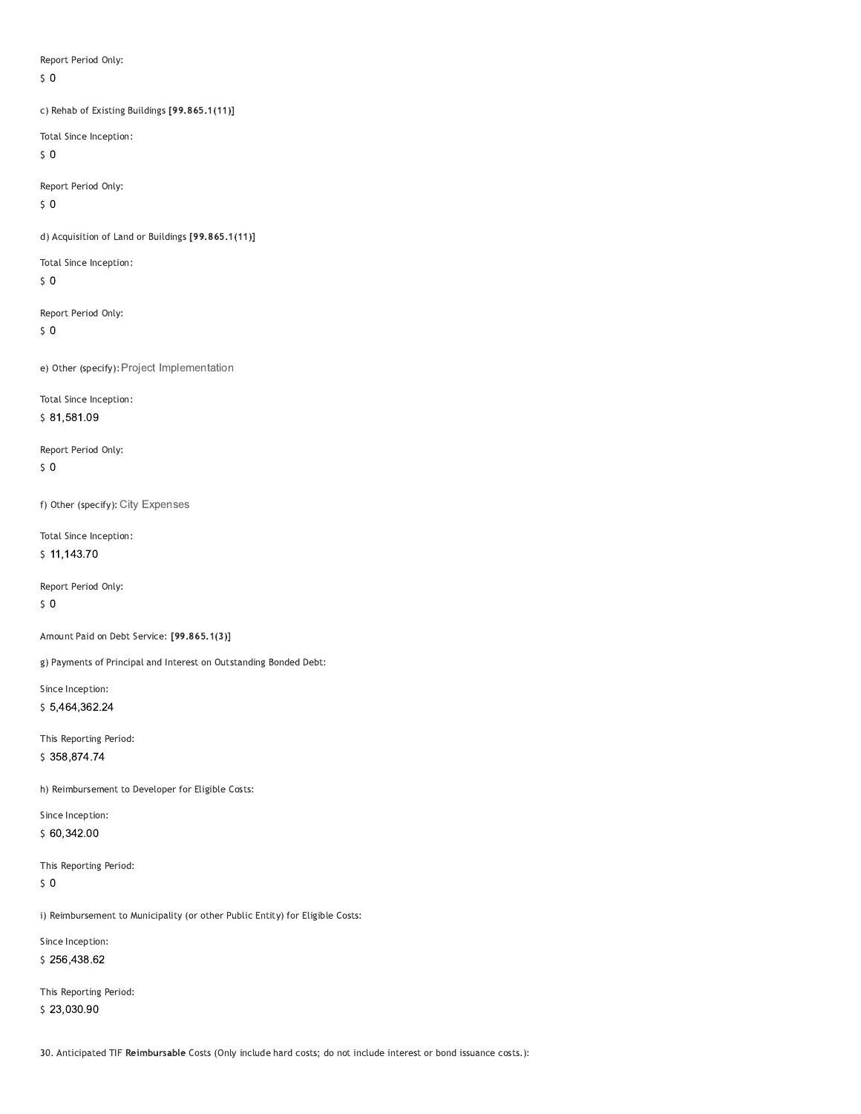Report Period Only:

 $\zeta$  0

c) Rehab of Existing Buildings [99.865.1(11)]

Total Since Inception:

 $\sqrt{5}$  O

Report Period Only:

 $50$ 

d) Acquisition of Land or Buildings [99.865.1(11)]

Total Since Inception:

 $50$ 

Report Period Only:

 $\sqrt{5}$  O

e) Other (specify): Project Implementation

Total Since Inception:

\$81,581.09

Report Period Only:  $50$ 

f) Other (specify): City Expenses

Total Since Inception:  $$11,143.70$ 

Report Period Only:  $\sqrt{5}$  O

Amount Paid on Debt Service: [99.865.1(3)]

g) Payments of Principal and Interest on Outstanding Bonded Debt:

Since Inception: \$5,464,362.24

This Reporting Period: \$358,874.74

h) Reimbursement to Developer for Eligible Costs:

Since Inception: \$60,342.00

This Reporting Period:

 $\sqrt{5}$  O

i) Reimbursement to Municipality (or other Public Entity) for Eligible Costs:

Since Inception:

\$256,438.62

This Reporting Period: \$23,030.90

30. Anticipated TIF Reimbursable Costs (Only include hard costs; do not include interest or bond issuance costs.):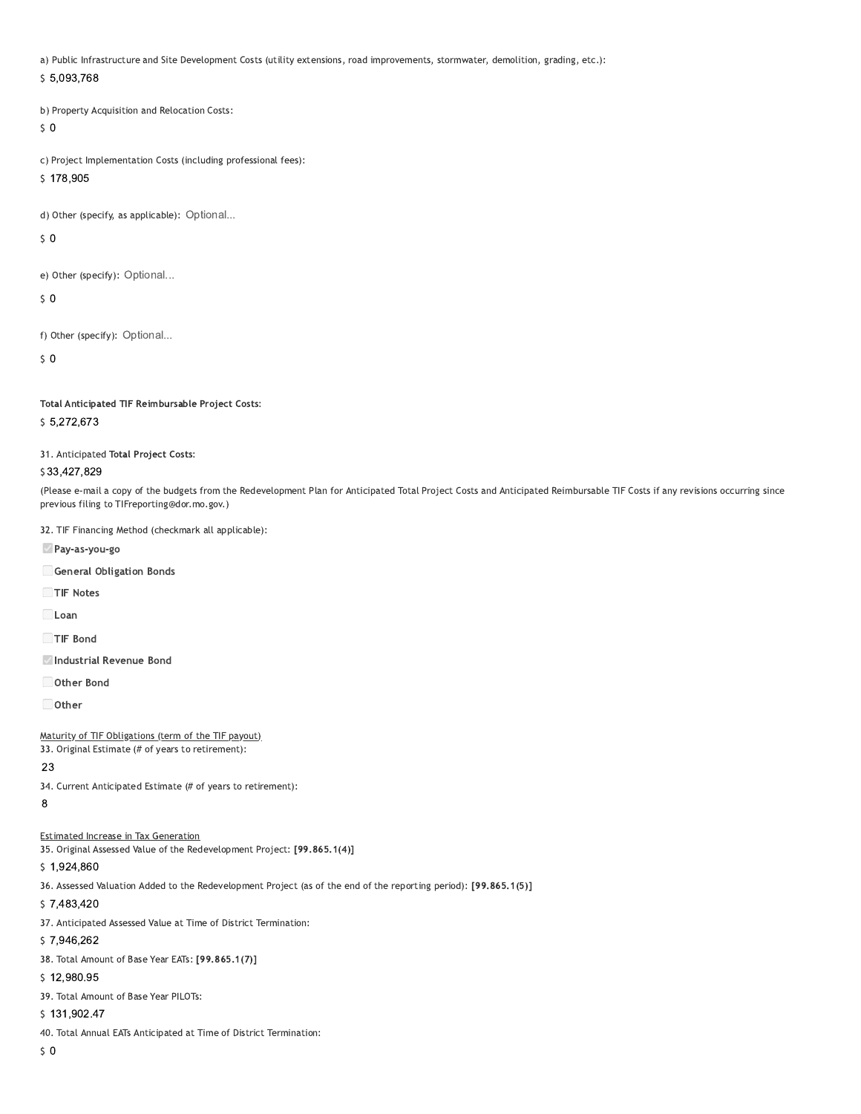a) Public Infrastructure and Site Development Costs (utility extensions, road improvements, stormwater, demolition, grading, etc.):

\$5,093,768

b) Property Acquisition and Relocation Costs:

 $50$ 

c) Project Implementation Costs (including professional fees):

\$178,905

d) Other (specify, as applicable): Optional...

 $50$ 

e) Other (specify): Optional...

 $\mathsf{S}$  0

f) Other (specify): Optional...

 $\mathsf{S}$  0

Total Anticipated TIF Reimbursable Project Costs:

## \$5,272,673

31. Anticipated Total Project Costs:

### \$33,427,829

(Please e-mail a copy of the budgets from the Redevelopment Plan for Anticipated Total Project Costs and Anticipated Reimbursable TIF Costs if any revisions occurring since previous filing to TIFreporting@dor.mo.gov.)

32. TIF Financing Method (checkmark all applicable):

Pay-as-you-go

General Obligation Bonds

TIF Notes

 $\Box$ Loan

TIF Bond

Industrial Revenue Bond

Other Bond

 $\Box$  Other

Maturity of TIF Obligations (term of the TIF payout)

33. Original Estimate (# of years to retirement):

# 23

34. Current Anticipated Estimate (# of years to retirement):

# $\overline{8}$

**Estimated Increase in Tax Generation** 

35. Original Assessed Value of the Redevelopment Project: [99.865.1(4)]

\$1,924,860

36. Assessed Valuation Added to the Redevelopment Project (as of the end of the reporting period): [99.865.1(5)]

\$7,483,420

37. Anticipated Assessed Value at Time of District Termination:

## \$7,946,262

38. Total Amount of Base Year EATs: [99.865.1(7)]

\$12,980.95

39. Total Amount of Base Year PILOTs:

\$131,902.47

40. Total Annual EATs Anticipated at Time of District Termination:

 $\zeta$  0